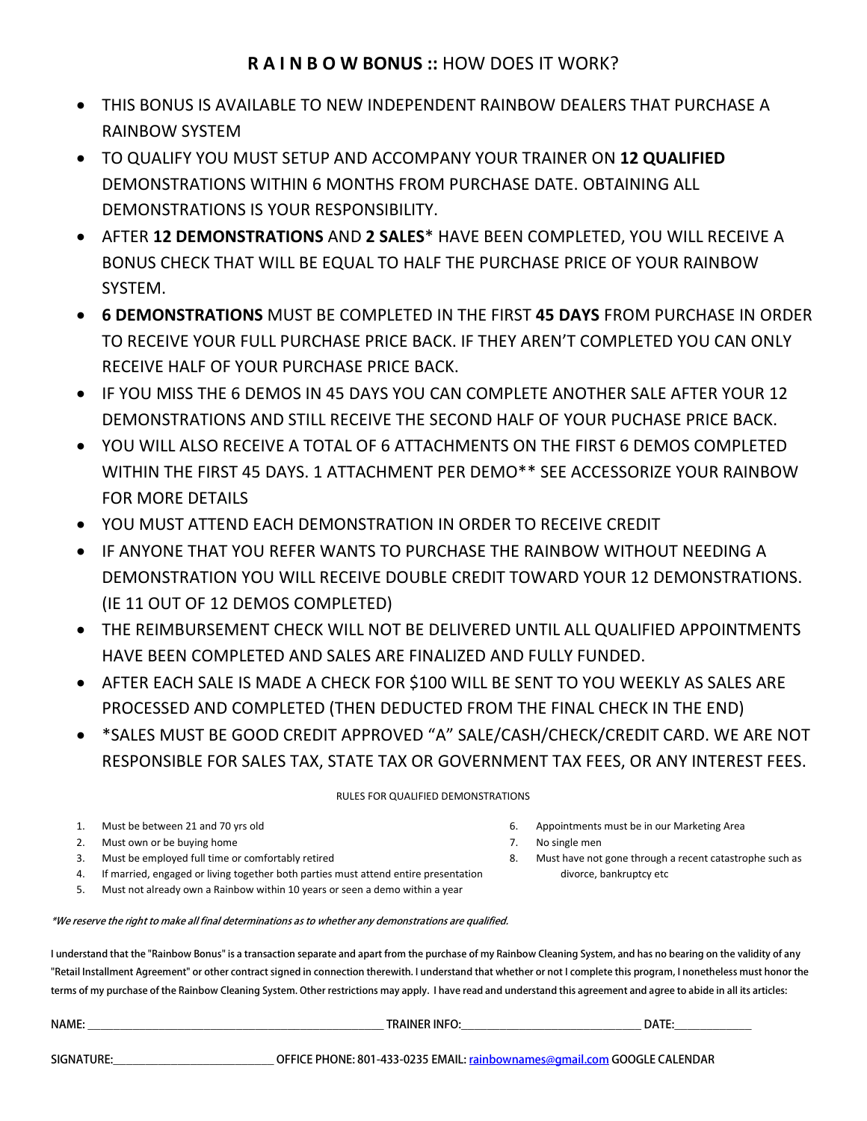- THIS BONUS IS AVAILABLE TO NEW INDEPENDENT RAINBOW DEALERS THAT PURCHASE A RAINBOW SYSTEM
- TO QUALIFY YOU MUST SETUP AND ACCOMPANY YOUR TRAINER ON **12 QUALIFIED** DEMONSTRATIONS WITHIN 6 MONTHS FROM PURCHASE DATE. OBTAINING ALL DEMONSTRATIONS IS YOUR RESPONSIBILITY.
- AFTER **12 DEMONSTRATIONS** AND **2 SALES**\* HAVE BEEN COMPLETED, YOU WILL RECEIVE A BONUS CHECK THAT WILL BE EQUAL TO HALF THE PURCHASE PRICE OF YOUR RAINBOW SYSTEM.
- **6 DEMONSTRATIONS** MUST BE COMPLETED IN THE FIRST **45 DAYS** FROM PURCHASE IN ORDER TO RECEIVE YOUR FULL PURCHASE PRICE BACK. IF THEY AREN'T COMPLETED YOU CAN ONLY RECEIVE HALF OF YOUR PURCHASE PRICE BACK.
- IF YOU MISS THE 6 DEMOS IN 45 DAYS YOU CAN COMPLETE ANOTHER SALE AFTER YOUR 12 DEMONSTRATIONS AND STILL RECEIVE THE SECOND HALF OF YOUR PUCHASE PRICE BACK.
- YOU WILL ALSO RECEIVE A TOTAL OF 6 ATTACHMENTS ON THE FIRST 6 DEMOS COMPLETED WITHIN THE FIRST 45 DAYS. 1 ATTACHMENT PER DEMO\*\* SEE ACCESSORIZE YOUR RAINBOW FOR MORE DETAILS
- YOU MUST ATTEND EACH DEMONSTRATION IN ORDER TO RECEIVE CREDIT
- IF ANYONE THAT YOU REFER WANTS TO PURCHASE THE RAINBOW WITHOUT NEEDING A DEMONSTRATION YOU WILL RECEIVE DOUBLE CREDIT TOWARD YOUR 12 DEMONSTRATIONS. (IE 11 OUT OF 12 DEMOS COMPLETED)
- THE REIMBURSEMENT CHECK WILL NOT BE DELIVERED UNTIL ALL QUALIFIED APPOINTMENTS HAVE BEEN COMPLETED AND SALES ARE FINALIZED AND FULLY FUNDED.
- AFTER EACH SALE IS MADE A CHECK FOR \$100 WILL BE SENT TO YOU WEEKLY AS SALES ARE PROCESSED AND COMPLETED (THEN DEDUCTED FROM THE FINAL CHECK IN THE END)
- \*SALES MUST BE GOOD CREDIT APPROVED "A" SALE/CASH/CHECK/CREDIT CARD. WE ARE NOT RESPONSIBLE FOR SALES TAX, STATE TAX OR GOVERNMENT TAX FEES, OR ANY INTEREST FEES.

#### RULES FOR QUALIFIED DEMONSTRATIONS

- 1. Must be between 21 and 70 yrs old 6. Appointments must be in our Marketing Area
- 2. Must own or be buying home **7.** No single men
- 3. Must be employed full time or comfortably retired 8. Must have not gone through a recent catastrophe such as
- 4. If married, engaged or living together both parties must attend entire presentation divorce, bankruptcy etc
- 5. Must not already own a Rainbow within 10 years or seen a demo within a year

#### \*We reserve the right to make all final determinations as to whether any demonstrations are qualified.

I understand that the "Rainbow Bonus" is a transaction separate and apart from the purchase of my Rainbow Cleaning System, and has no bearing on the validity of any "Retail Installment Agreement" or other contract signed in connection therewith. I understand that whether or not I complete this program, I nonetheless must honor the terms of my purchase of the Rainbow Cleaning System. Other restrictions may apply. I have read and understand this agreement and agree to abide in all its articles:

| <b>NAME</b> | <b><i>NNER INF</i></b> | <b>DATE</b> |
|-------------|------------------------|-------------|
|             |                        |             |

SIGNATURE:\_\_\_\_\_\_\_\_\_\_\_\_\_\_\_\_\_\_\_\_\_\_\_\_\_\_\_\_\_\_\_\_\_\_\_OFFICE PHONE: 801-433-0235 EMAIL: rainbownames@gmail.com GOOGLE CALENDAR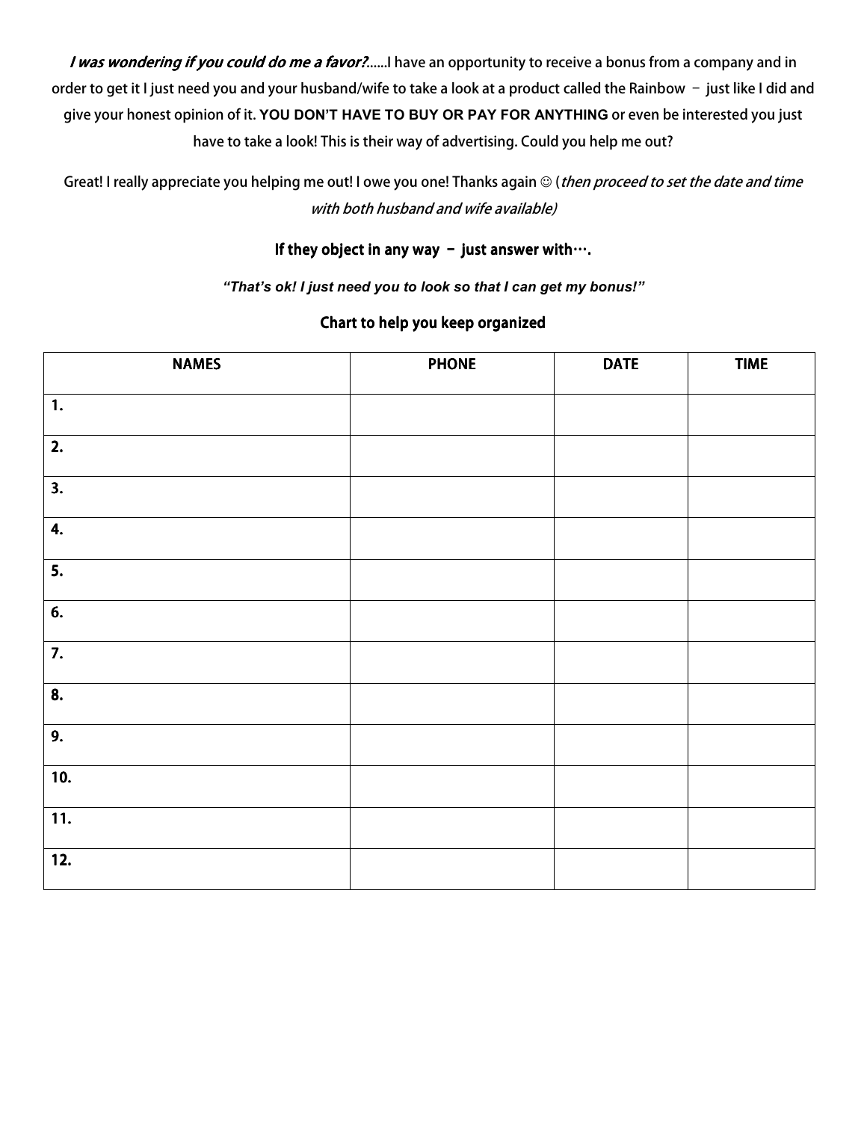I was wondering if you could do me a favor?......I have an opportunity to receive a bonus from a company and in order to get it I just need you and your husband/wife to take a look at a product called the Rainbow – just like I did and give your honest opinion of it. **YOU DON'T HAVE TO BUY OR PAY FOR ANYTHING** or even be interested you just have to take a look! This is their way of advertising. Could you help me out?

Great! I really appreciate you helping me out! I owe you one! Thanks again © (*then proceed to set the date and time* with both husband and wife available)

### If they object in any way – just answer with….

*"That's ok! I just need you to look so that I can get my bonus!"* 

#### Chart to help you keep organized

| <b>NAMES</b>              | <b>PHONE</b> | <b>DATE</b> | <b>TIME</b> |
|---------------------------|--------------|-------------|-------------|
| $\mathbf{1}$ .            |              |             |             |
| 2.                        |              |             |             |
| 3.                        |              |             |             |
| 4.                        |              |             |             |
| $\overline{\mathbf{5}}$ . |              |             |             |
| 6.                        |              |             |             |
| 7.                        |              |             |             |
| 8.                        |              |             |             |
| 9.                        |              |             |             |
| 10.                       |              |             |             |
| 11.                       |              |             |             |
| 12.                       |              |             |             |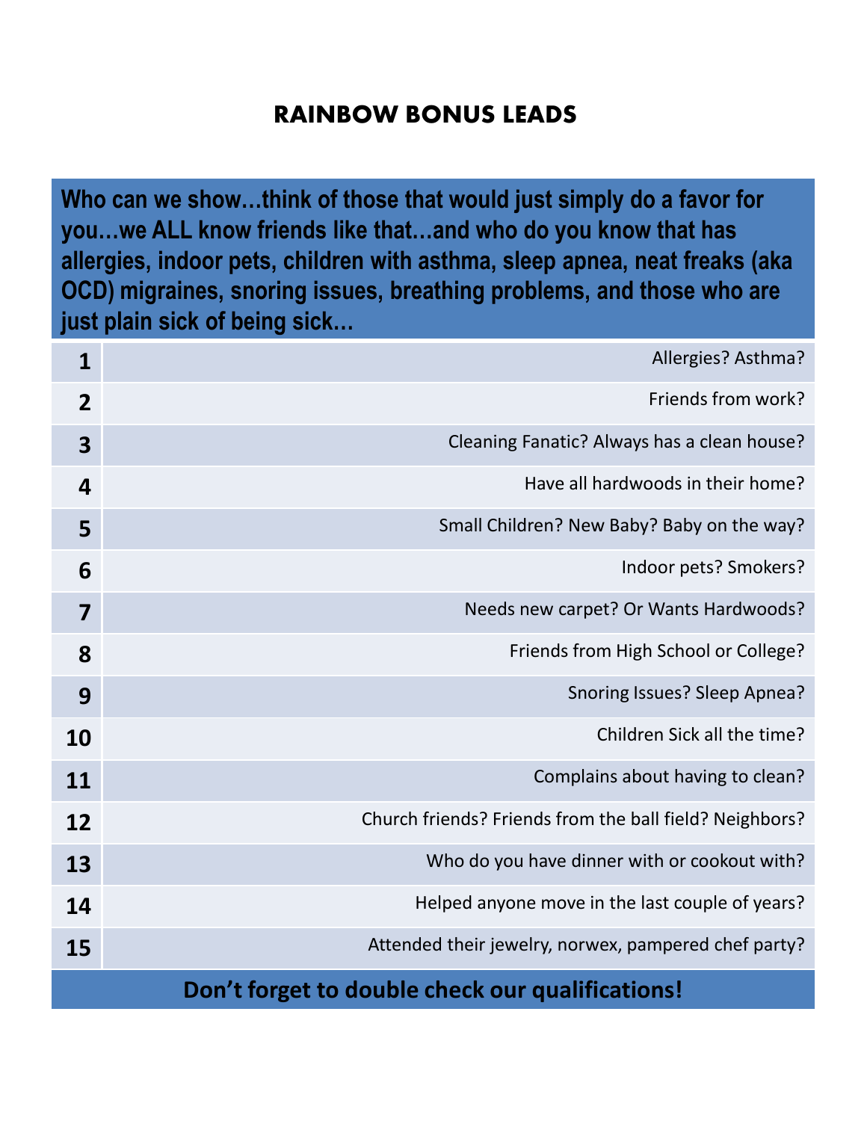# **RAINBOW BONUS LEADS**

**Who can we show…think of those that would just simply do a favor for you…we ALL know friends like that…and who do you know that has allergies, indoor pets, children with asthma, sleep apnea, neat freaks (aka OCD) migraines, snoring issues, breathing problems, and those who are just plain sick of being sick…**

| $\mathbf{1}$                                     | Allergies? Asthma?                                      |  |  |  |
|--------------------------------------------------|---------------------------------------------------------|--|--|--|
| $\overline{2}$                                   | Friends from work?                                      |  |  |  |
| 3                                                | Cleaning Fanatic? Always has a clean house?             |  |  |  |
| 4                                                | Have all hardwoods in their home?                       |  |  |  |
| 5                                                | Small Children? New Baby? Baby on the way?              |  |  |  |
| 6                                                | Indoor pets? Smokers?                                   |  |  |  |
| 7                                                | Needs new carpet? Or Wants Hardwoods?                   |  |  |  |
| 8                                                | Friends from High School or College?                    |  |  |  |
| 9                                                | Snoring Issues? Sleep Apnea?                            |  |  |  |
| 10                                               | Children Sick all the time?                             |  |  |  |
| 11                                               | Complains about having to clean?                        |  |  |  |
| 12                                               | Church friends? Friends from the ball field? Neighbors? |  |  |  |
| 13                                               | Who do you have dinner with or cookout with?            |  |  |  |
| 14                                               | Helped anyone move in the last couple of years?         |  |  |  |
| 15                                               | Attended their jewelry, norwex, pampered chef party?    |  |  |  |
| Don't forget to double check our qualifications! |                                                         |  |  |  |